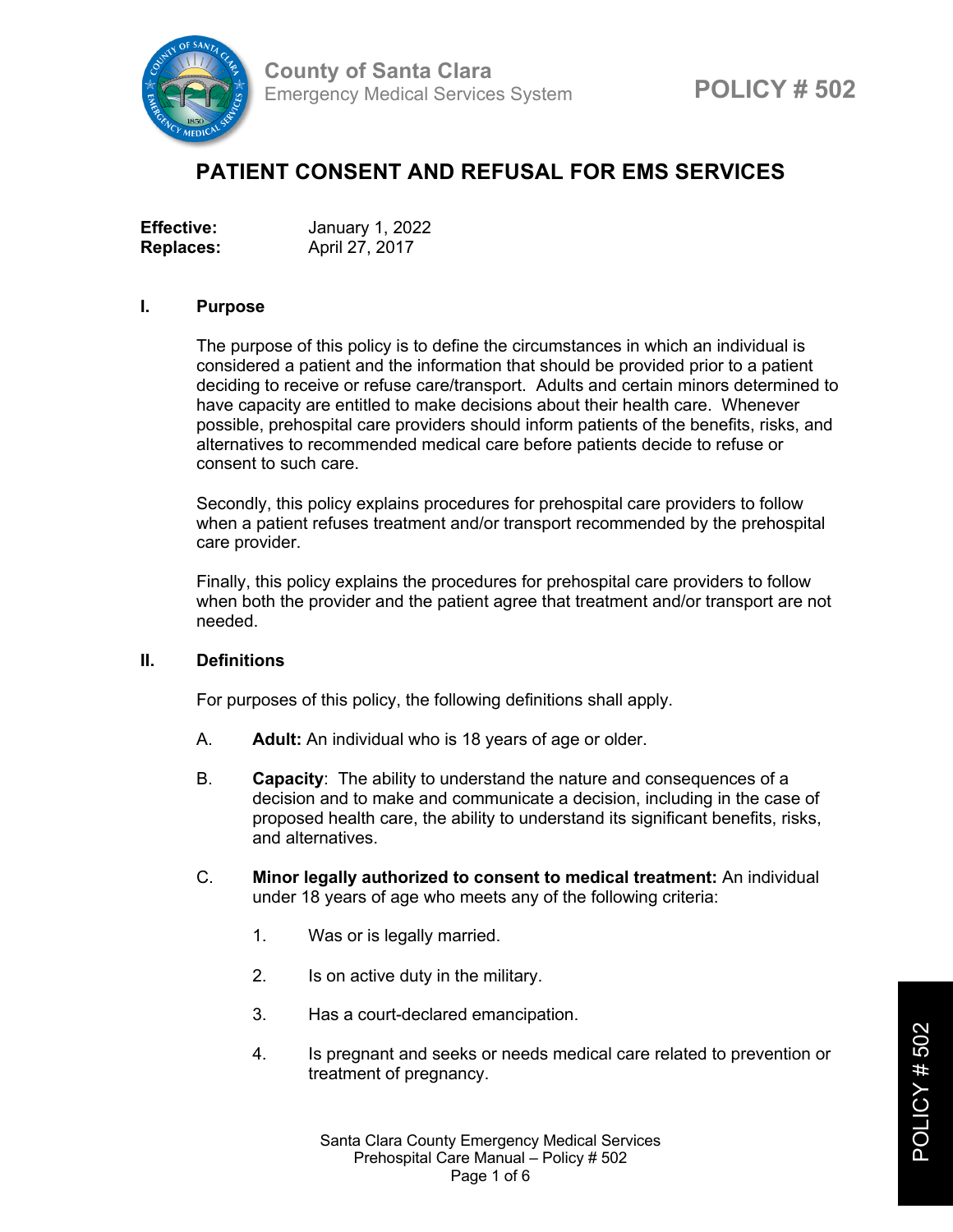

# **PATIENT CONSENT AND REFUSAL FOR EMS SERVICES**

| <b>Effective:</b> | January 1, 2022 |
|-------------------|-----------------|
| <b>Replaces:</b>  | April 27, 2017  |

#### **I. Purpose**

The purpose of this policy is to define the circumstances in which an individual is considered a patient and the information that should be provided prior to a patient deciding to receive or refuse care/transport. Adults and certain minors determined to have capacity are entitled to make decisions about their health care. Whenever possible, prehospital care providers should inform patients of the benefits, risks, and alternatives to recommended medical care before patients decide to refuse or consent to such care.

Secondly, this policy explains procedures for prehospital care providers to follow when a patient refuses treatment and/or transport recommended by the prehospital care provider.

Finally, this policy explains the procedures for prehospital care providers to follow when both the provider and the patient agree that treatment and/or transport are not needed.

#### **II. Definitions**

For purposes of this policy, the following definitions shall apply.

- A. **Adult:** An individual who is 18 years of age or older.
- B. **Capacity**: The ability to understand the nature and consequences of a decision and to make and communicate a decision, including in the case of proposed health care, the ability to understand its significant benefits, risks, and alternatives.
- C. **Minor legally authorized to consent to medical treatment:** An individual under 18 years of age who meets any of the following criteria:
	- 1. Was or is legally married.
	- 2. Is on active duty in the military.
	- 3. Has a court-declared emancipation.
	- 4. Is pregnant and seeks or needs medical care related to prevention or treatment of pregnancy.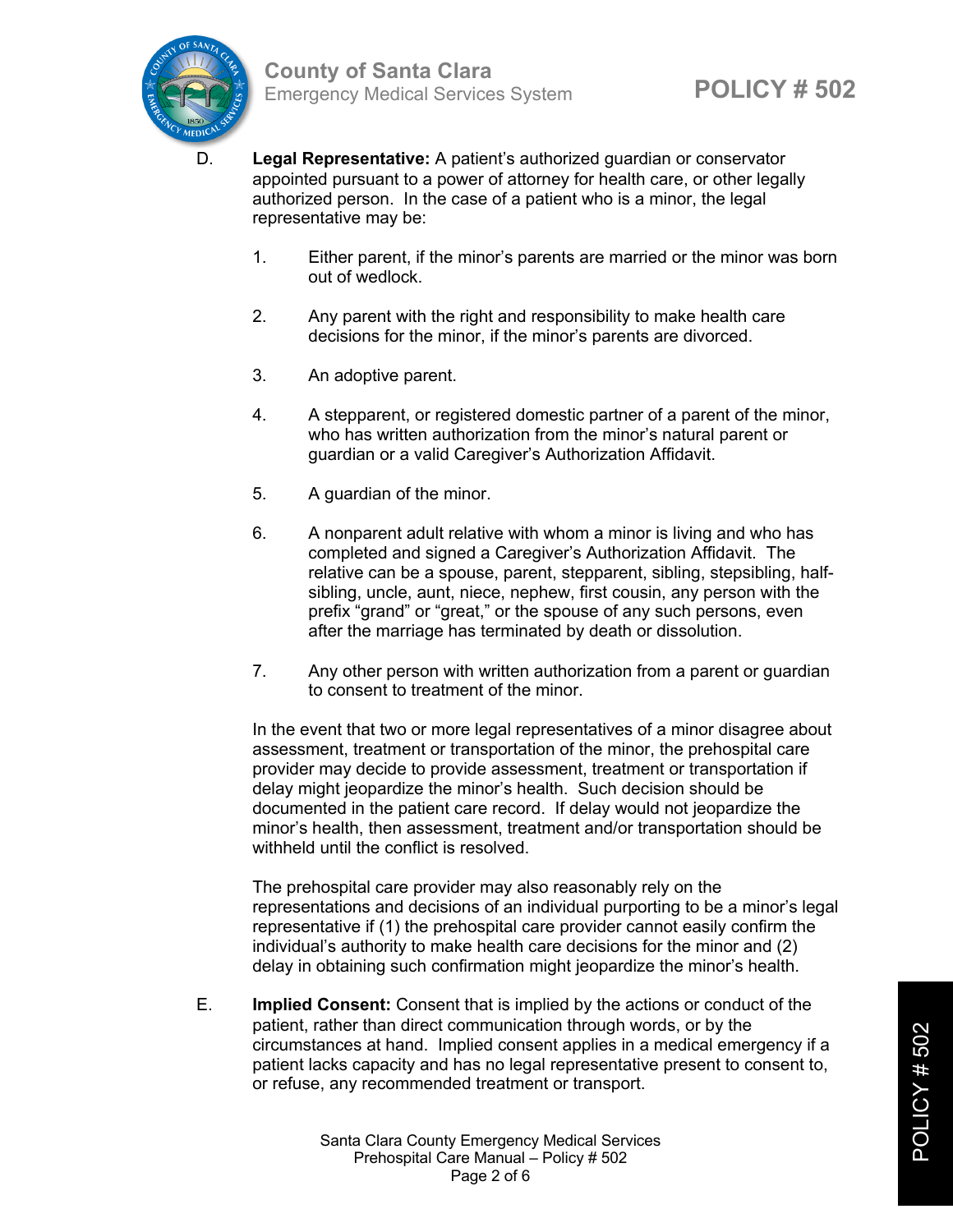

- D. **Legal Representative:** A patient's authorized guardian or conservator appointed pursuant to a power of attorney for health care, or other legally authorized person. In the case of a patient who is a minor, the legal representative may be:
	- 1. Either parent, if the minor's parents are married or the minor was born out of wedlock.
	- 2. Any parent with the right and responsibility to make health care decisions for the minor, if the minor's parents are divorced.
	- 3. An adoptive parent.
	- 4. A stepparent, or registered domestic partner of a parent of the minor, who has written authorization from the minor's natural parent or guardian or a valid Caregiver's Authorization Affidavit.
	- 5. A guardian of the minor.
	- 6. A nonparent adult relative with whom a minor is living and who has completed and signed a Caregiver's Authorization Affidavit. The relative can be a spouse, parent, stepparent, sibling, stepsibling, halfsibling, uncle, aunt, niece, nephew, first cousin, any person with the prefix "grand" or "great," or the spouse of any such persons, even after the marriage has terminated by death or dissolution.
	- 7. Any other person with written authorization from a parent or guardian to consent to treatment of the minor.

In the event that two or more legal representatives of a minor disagree about assessment, treatment or transportation of the minor, the prehospital care provider may decide to provide assessment, treatment or transportation if delay might jeopardize the minor's health. Such decision should be documented in the patient care record. If delay would not jeopardize the minor's health, then assessment, treatment and/or transportation should be withheld until the conflict is resolved.

The prehospital care provider may also reasonably rely on the representations and decisions of an individual purporting to be a minor's legal representative if (1) the prehospital care provider cannot easily confirm the individual's authority to make health care decisions for the minor and (2) delay in obtaining such confirmation might jeopardize the minor's health.

E. **Implied Consent:** Consent that is implied by the actions or conduct of the patient, rather than direct communication through words, or by the circumstances at hand. Implied consent applies in a medical emergency if a patient lacks capacity and has no legal representative present to consent to, or refuse, any recommended treatment or transport.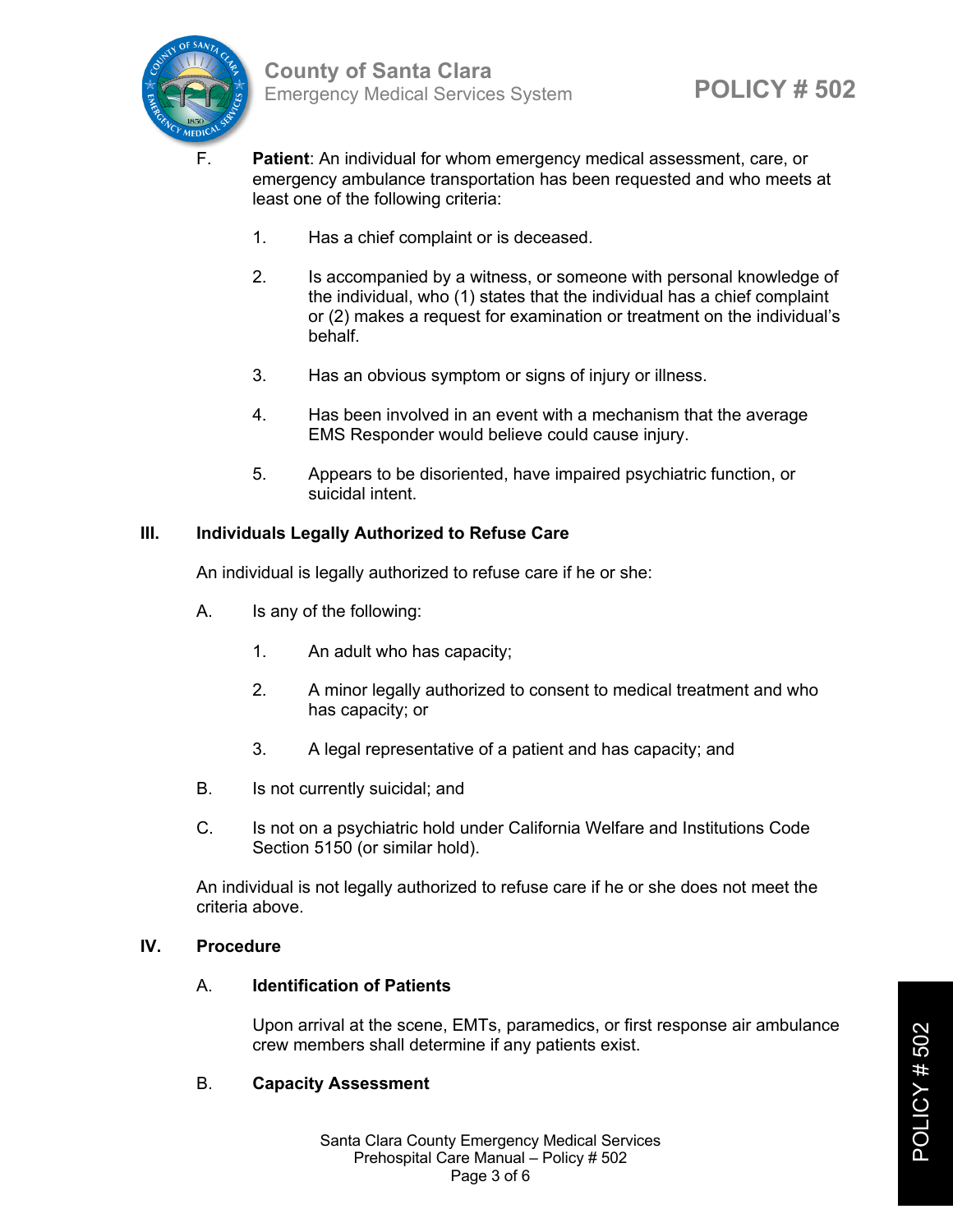

- F. **Patient**: An individual for whom emergency medical assessment, care, or emergency ambulance transportation has been requested and who meets at least one of the following criteria:
	- 1. Has a chief complaint or is deceased.
	- 2. Is accompanied by a witness, or someone with personal knowledge of the individual, who (1) states that the individual has a chief complaint or (2) makes a request for examination or treatment on the individual's behalf.
	- 3. Has an obvious symptom or signs of injury or illness.
	- 4. Has been involved in an event with a mechanism that the average EMS Responder would believe could cause injury.
	- 5. Appears to be disoriented, have impaired psychiatric function, or suicidal intent.

# **III. Individuals Legally Authorized to Refuse Care**

An individual is legally authorized to refuse care if he or she:

- A. Is any of the following:
	- 1. An adult who has capacity;
	- 2. A minor legally authorized to consent to medical treatment and who has capacity; or
	- 3. A legal representative of a patient and has capacity; and
- B. Is not currently suicidal; and
- C. Is not on a psychiatric hold under California Welfare and Institutions Code Section 5150 (or similar hold).

An individual is not legally authorized to refuse care if he or she does not meet the criteria above.

#### **IV. Procedure**

# A. **Identification of Patients**

Upon arrival at the scene, EMTs, paramedics, or first response air ambulance crew members shall determine if any patients exist.

# B. **Capacity Assessment**

Santa Clara County Emergency Medical Services Prehospital Care Manual – Policy # 502 Page 3 of 6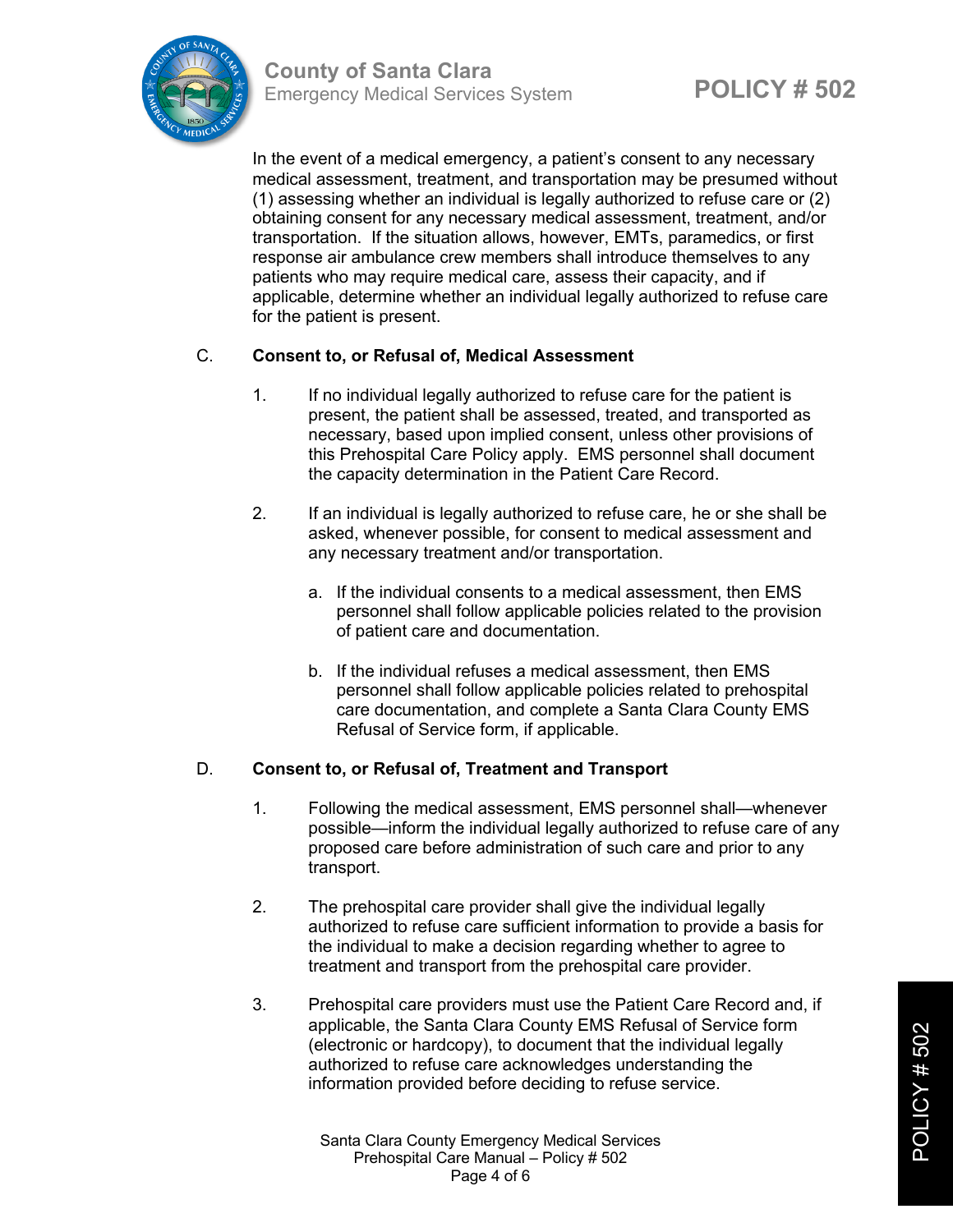

**POLICY # 502 County of Santa Clara** Emergency Medical Services System

In the event of a medical emergency, a patient's consent to any necessary medical assessment, treatment, and transportation may be presumed without (1) assessing whether an individual is legally authorized to refuse care or (2) obtaining consent for any necessary medical assessment, treatment, and/or transportation. If the situation allows, however, EMTs, paramedics, or first response air ambulance crew members shall introduce themselves to any patients who may require medical care, assess their capacity, and if applicable, determine whether an individual legally authorized to refuse care for the patient is present.

# C. **Consent to, or Refusal of, Medical Assessment**

- 1. If no individual legally authorized to refuse care for the patient is present, the patient shall be assessed, treated, and transported as necessary, based upon implied consent, unless other provisions of this Prehospital Care Policy apply. EMS personnel shall document the capacity determination in the Patient Care Record.
- 2. If an individual is legally authorized to refuse care, he or she shall be asked, whenever possible, for consent to medical assessment and any necessary treatment and/or transportation.
	- a. If the individual consents to a medical assessment, then EMS personnel shall follow applicable policies related to the provision of patient care and documentation.
	- b. If the individual refuses a medical assessment, then EMS personnel shall follow applicable policies related to prehospital care documentation, and complete a Santa Clara County EMS Refusal of Service form, if applicable.

# D. **Consent to, or Refusal of, Treatment and Transport**

- 1. Following the medical assessment, EMS personnel shall—whenever possible—inform the individual legally authorized to refuse care of any proposed care before administration of such care and prior to any transport.
- 2. The prehospital care provider shall give the individual legally authorized to refuse care sufficient information to provide a basis for the individual to make a decision regarding whether to agree to treatment and transport from the prehospital care provider.
- 3. Prehospital care providers must use the Patient Care Record and, if applicable, the Santa Clara County EMS Refusal of Service form (electronic or hardcopy), to document that the individual legally authorized to refuse care acknowledges understanding the information provided before deciding to refuse service.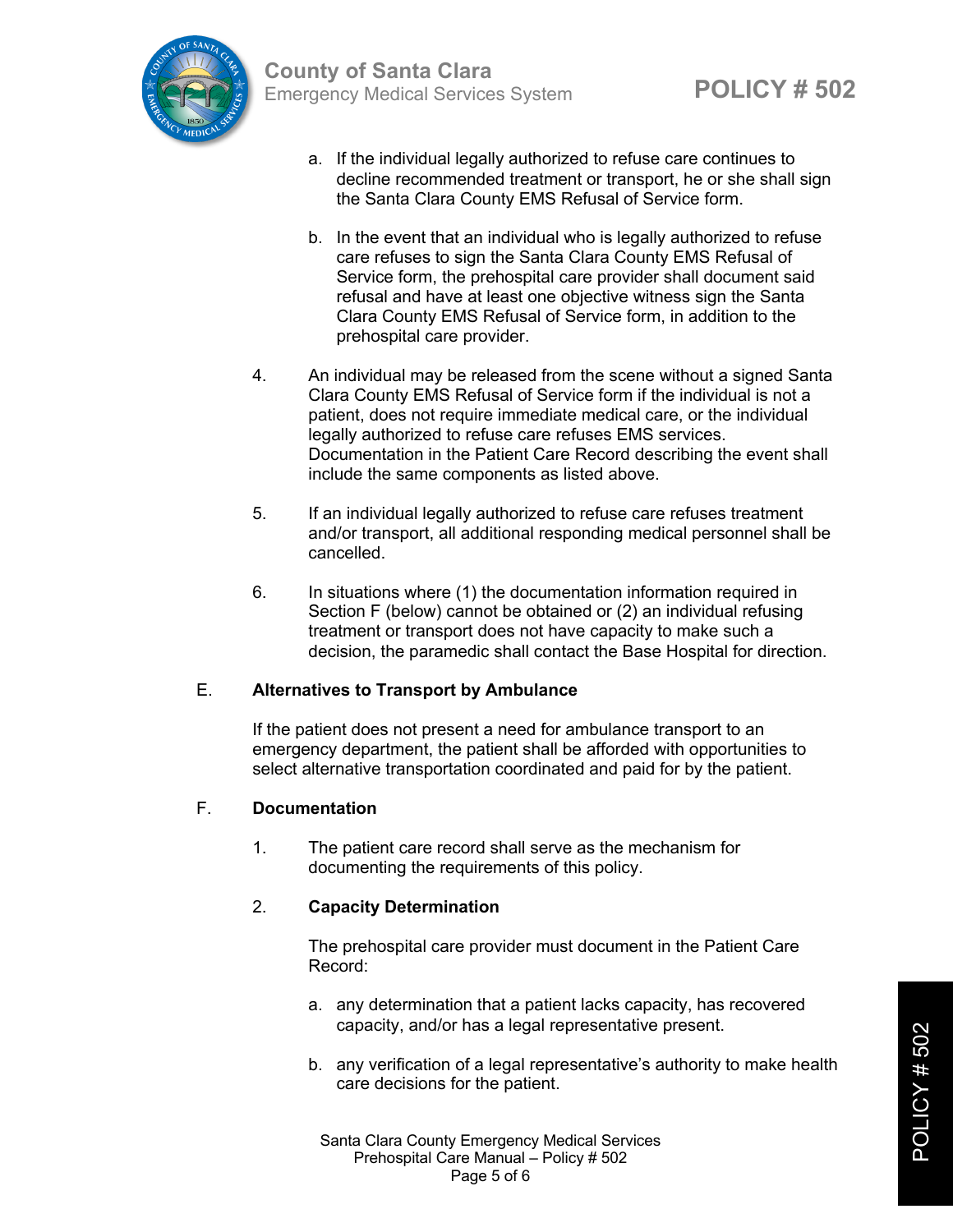- a. If the individual legally authorized to refuse care continues to decline recommended treatment or transport, he or she shall sign the Santa Clara County EMS Refusal of Service form.
- b. In the event that an individual who is legally authorized to refuse care refuses to sign the Santa Clara County EMS Refusal of Service form, the prehospital care provider shall document said refusal and have at least one objective witness sign the Santa Clara County EMS Refusal of Service form, in addition to the prehospital care provider.
- 4. An individual may be released from the scene without a signed Santa Clara County EMS Refusal of Service form if the individual is not a patient, does not require immediate medical care, or the individual legally authorized to refuse care refuses EMS services. Documentation in the Patient Care Record describing the event shall include the same components as listed above.
- 5. If an individual legally authorized to refuse care refuses treatment and/or transport, all additional responding medical personnel shall be cancelled.
- 6. In situations where (1) the documentation information required in Section F (below) cannot be obtained or (2) an individual refusing treatment or transport does not have capacity to make such a decision, the paramedic shall contact the Base Hospital for direction.

# E. **Alternatives to Transport by Ambulance**

If the patient does not present a need for ambulance transport to an emergency department, the patient shall be afforded with opportunities to select alternative transportation coordinated and paid for by the patient.

# F. **Documentation**

1. The patient care record shall serve as the mechanism for documenting the requirements of this policy.

# 2. **Capacity Determination**

The prehospital care provider must document in the Patient Care Record:

- a. any determination that a patient lacks capacity, has recovered capacity, and/or has a legal representative present.
- b. any verification of a legal representative's authority to make health care decisions for the patient.

Santa Clara County Emergency Medical Services Prehospital Care Manual – Policy # 502 Page 5 of 6